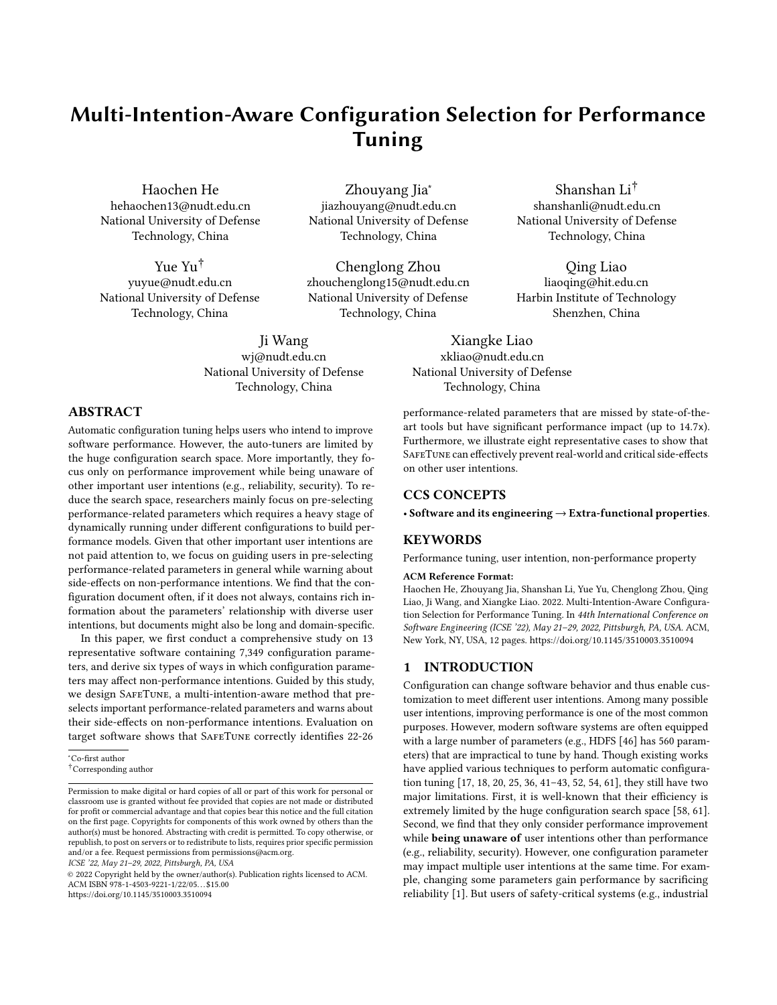# Multi-Intention-Aware Configuration Selection for Performance Tuning

Haochen He hehaochen13@nudt.edu.cn National University of Defense Technology, China

Yue Yu† yuyue@nudt.edu.cn National University of Defense Technology, China

Zhouyang Jia<sup>∗</sup> jiazhouyang@nudt.edu.cn National University of Defense Technology, China

Chenglong Zhou zhouchenglong15@nudt.edu.cn National University of Defense Technology, China

Ji Wang wj@nudt.edu.cn National University of Defense Technology, China

Shanshan Li† shanshanli@nudt.edu.cn National University of Defense Technology, China

Qing Liao liaoqing@hit.edu.cn Harbin Institute of Technology Shenzhen, China

Xiangke Liao xkliao@nudt.edu.cn National University of Defense Technology, China

# ABSTRACT

Automatic configuration tuning helps users who intend to improve software performance. However, the auto-tuners are limited by the huge configuration search space. More importantly, they focus only on performance improvement while being unaware of other important user intentions (e.g., reliability, security). To reduce the search space, researchers mainly focus on pre-selecting performance-related parameters which requires a heavy stage of dynamically running under different configurations to build performance models. Given that other important user intentions are not paid attention to, we focus on guiding users in pre-selecting performance-related parameters in general while warning about side-effects on non-performance intentions. We find that the configuration document often, if it does not always, contains rich information about the parameters' relationship with diverse user intentions, but documents might also be long and domain-specific.

In this paper, we first conduct a comprehensive study on 13 representative software containing 7,349 configuration parameters, and derive six types of ways in which configuration parameters may affect non-performance intentions. Guided by this study, we design SafeTune, a multi-intention-aware method that preselects important performance-related parameters and warns about their side-effects on non-performance intentions. Evaluation on target software shows that SafeTune correctly identifies 22-26

ICSE '22, May 21–29, 2022, Pittsburgh, PA, USA

performance-related parameters that are missed by state-of-theart tools but have significant performance impact (up to 14.7x). Furthermore, we illustrate eight representative cases to show that SafeTune can effectively prevent real-world and critical side-effects on other user intentions.

## CCS CONCEPTS

• Software and its engineering → Extra-functional properties.

#### KEYWORDS

Performance tuning, user intention, non-performance property

#### ACM Reference Format:

Haochen He, Zhouyang Jia, Shanshan Li, Yue Yu, Chenglong Zhou, Qing Liao, Ji Wang, and Xiangke Liao. 2022. Multi-Intention-Aware Configuration Selection for Performance Tuning. In 44th International Conference on Software Engineering (ICSE '22), May 21–29, 2022, Pittsburgh, PA, USA. ACM, New York, NY, USA, [12](#page-11-0) pages.<https://doi.org/10.1145/3510003.3510094>

## 1 INTRODUCTION

Configuration can change software behavior and thus enable customization to meet different user intentions. Among many possible user intentions, improving performance is one of the most common purposes. However, modern software systems are often equipped with a large number of parameters (e.g., HDFS [\[46\]](#page-11-1) has 560 parameters) that are impractical to tune by hand. Though existing works have applied various techniques to perform automatic configuration tuning [\[17,](#page-10-0) [18,](#page-11-2) [20,](#page-11-3) [25,](#page-11-4) [36,](#page-11-5) [41](#page-11-6)[–43,](#page-11-7) [52,](#page-11-8) [54,](#page-11-9) [61\]](#page-11-10), they still have two major limitations. First, it is well-known that their efficiency is extremely limited by the huge configuration search space [\[58,](#page-11-11) [61\]](#page-11-10). Second, we find that they only consider performance improvement while being unaware of user intentions other than performance (e.g., reliability, security). However, one configuration parameter may impact multiple user intentions at the same time. For example, changing some parameters gain performance by sacrificing reliability [\[1\]](#page-10-1). But users of safety-critical systems (e.g., industrial

<sup>∗</sup>Co-first author

<sup>†</sup>Corresponding author

Permission to make digital or hard copies of all or part of this work for personal or classroom use is granted without fee provided that copies are not made or distributed for profit or commercial advantage and that copies bear this notice and the full citation on the first page. Copyrights for components of this work owned by others than the author(s) must be honored. Abstracting with credit is permitted. To copy otherwise, or republish, to post on servers or to redistribute to lists, requires prior specific permission and/or a fee. Request permissions from permissions@acm.org.

<sup>©</sup> 2022 Copyright held by the owner/author(s). Publication rights licensed to ACM. ACM ISBN 978-1-4503-9221-1/22/05. . . \$15.00 <https://doi.org/10.1145/3510003.3510094>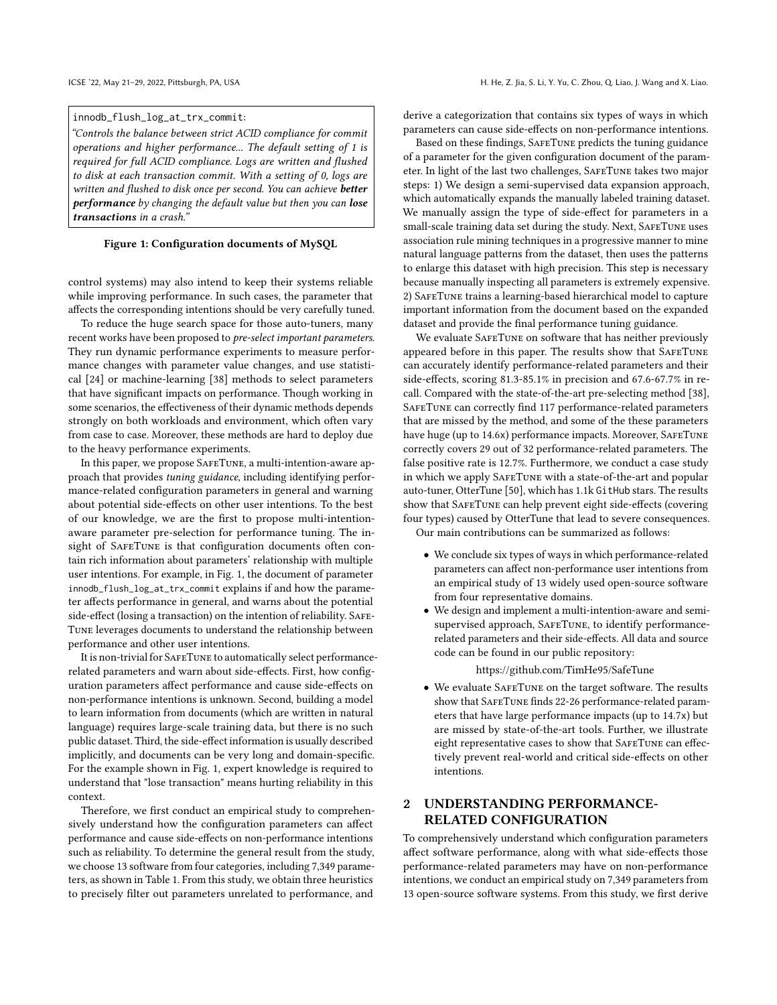#### <span id="page-1-0"></span>innodb\_flush\_log\_at\_trx\_commit:

"Controls the balance between strict ACID compliance for commit operations and higher performance... The default setting of 1 is required for full ACID compliance. Logs are written and flushed to disk at each transaction commit. With a setting of 0, logs are written and flushed to disk once per second. You can achieve better performance by changing the default value but then you can lose transactions in a crash."

#### Figure 1: Configuration documents of MySQL

control systems) may also intend to keep their systems reliable while improving performance. In such cases, the parameter that affects the corresponding intentions should be very carefully tuned.

To reduce the huge search space for those auto-tuners, many recent works have been proposed to pre-select important parameters. They run dynamic performance experiments to measure performance changes with parameter value changes, and use statistical [\[24\]](#page-11-12) or machine-learning [\[38\]](#page-11-13) methods to select parameters that have significant impacts on performance. Though working in some scenarios, the effectiveness of their dynamic methods depends strongly on both workloads and environment, which often vary from case to case. Moreover, these methods are hard to deploy due to the heavy performance experiments.

In this paper, we propose SafeTune, a multi-intention-aware approach that provides tuning guidance, including identifying performance-related configuration parameters in general and warning about potential side-effects on other user intentions. To the best of our knowledge, we are the first to propose multi-intentionaware parameter pre-selection for performance tuning. The insight of SAFETUNE is that configuration documents often contain rich information about parameters' relationship with multiple user intentions. For example, in Fig. [1,](#page-1-0) the document of parameter innodb\_flush\_log\_at\_trx\_commit explains if and how the parameter affects performance in general, and warns about the potential side-effect (losing a transaction) on the intention of reliability. SAFE-Tune leverages documents to understand the relationship between performance and other user intentions.

It is non-trivial for SafeTune to automatically select performancerelated parameters and warn about side-effects. First, how configuration parameters affect performance and cause side-effects on non-performance intentions is unknown. Second, building a model to learn information from documents (which are written in natural language) requires large-scale training data, but there is no such public dataset. Third, the side-effect information is usually described implicitly, and documents can be very long and domain-specific. For the example shown in Fig. [1,](#page-1-0) expert knowledge is required to understand that "lose transaction" means hurting reliability in this context.

Therefore, we first conduct an empirical study to comprehensively understand how the configuration parameters can affect performance and cause side-effects on non-performance intentions such as reliability. To determine the general result from the study, we choose 13 software from four categories, including 7,349 parameters, as shown in Table [1.](#page-2-0) From this study, we obtain three heuristics to precisely filter out parameters unrelated to performance, and

derive a categorization that contains six types of ways in which parameters can cause side-effects on non-performance intentions.

Based on these findings, SafeTune predicts the tuning guidance of a parameter for the given configuration document of the parameter. In light of the last two challenges, SafeTune takes two major steps: 1) We design a semi-supervised data expansion approach, which automatically expands the manually labeled training dataset. We manually assign the type of side-effect for parameters in a small-scale training data set during the study. Next, SafeTune uses association rule mining techniques in a progressive manner to mine natural language patterns from the dataset, then uses the patterns to enlarge this dataset with high precision. This step is necessary because manually inspecting all parameters is extremely expensive. 2) SafeTune trains a learning-based hierarchical model to capture important information from the document based on the expanded dataset and provide the final performance tuning guidance.

We evaluate SAFETUNE on software that has neither previously appeared before in this paper. The results show that SafeTune can accurately identify performance-related parameters and their side-effects, scoring 81.3-85.1% in precision and 67.6-67.7% in recall. Compared with the state-of-the-art pre-selecting method [\[38\]](#page-11-13), SafeTune can correctly find 117 performance-related parameters that are missed by the method, and some of the these parameters have huge (up to 14.6x) performance impacts. Moreover, SAFETUNE correctly covers 29 out of 32 performance-related parameters. The false positive rate is 12.7%. Furthermore, we conduct a case study in which we apply SafeTune with a state-of-the-art and popular auto-tuner, OtterTune [\[50\]](#page-11-14), which has 1.1k GitHub stars. The results show that SAFETUNE can help prevent eight side-effects (covering four types) caused by OtterTune that lead to severe consequences. Our main contributions can be summarized as follows:

- We conclude six types of ways in which performance-related parameters can affect non-performance user intentions from an empirical study of 13 widely used open-source software from four representative domains.
- We design and implement a multi-intention-aware and semisupervised approach, SAFETUNE, to identify performancerelated parameters and their side-effects. All data and source code can be found in our public repository:

#### <https://github.com/TimHe95/SafeTune>

• We evaluate SafeTune on the target software. The results show that SAFETUNE finds 22-26 performance-related parameters that have large performance impacts (up to 14.7x) but are missed by state-of-the-art tools. Further, we illustrate eight representative cases to show that SafeTune can effectively prevent real-world and critical side-effects on other intentions.

# <span id="page-1-1"></span>2 UNDERSTANDING PERFORMANCE-RELATED CONFIGURATION

To comprehensively understand which configuration parameters affect software performance, along with what side-effects those performance-related parameters may have on non-performance intentions, we conduct an empirical study on 7,349 parameters from 13 open-source software systems. From this study, we first derive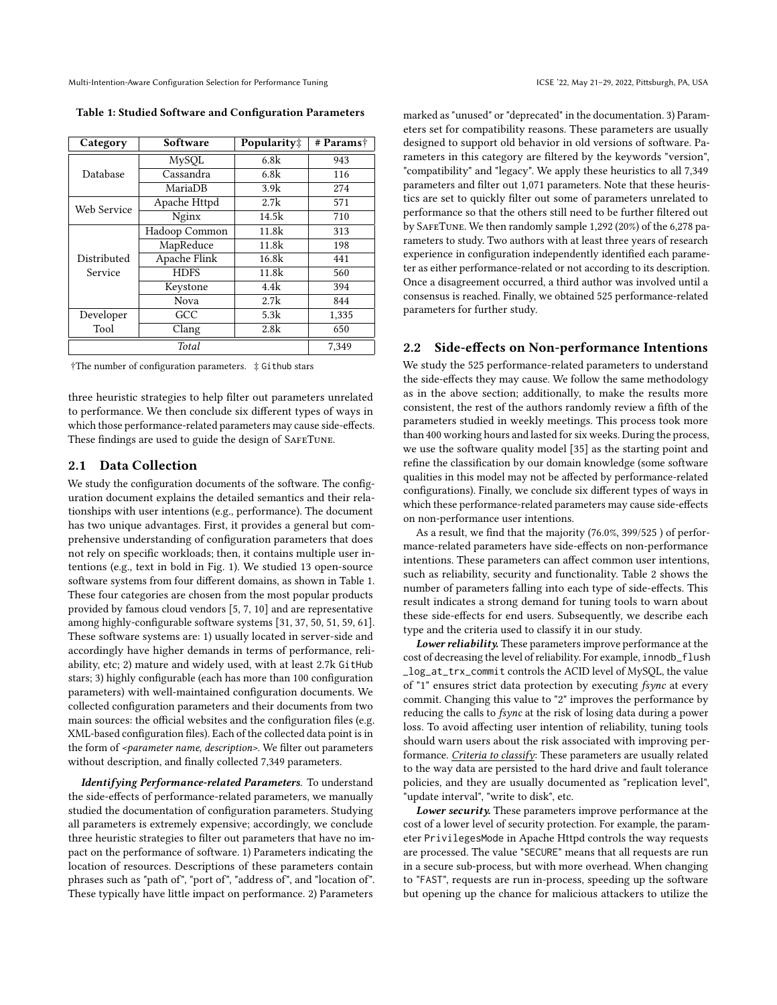Multi-Intention-Aware Configuration Selection for Performance Tuning ICSE '22, May 21-29, 2022, Pittsburgh, PA, USA

<span id="page-2-0"></span>Table 1: Studied Software and Configuration Parameters

| Software<br>Category |               | Popularity‡ | # Params† |  |
|----------------------|---------------|-------------|-----------|--|
|                      | MySQL         | 6.8k        | 943       |  |
| Database             | Cassandra     | 6.8k        | 116       |  |
|                      | MariaDB       | 3.9k        | 274       |  |
| Web Service          | Apache Httpd  | 2.7k        | 571       |  |
|                      | Nginx         | 14.5k       | 710       |  |
|                      | Hadoop Common | 11.8k       | 313       |  |
|                      | MapReduce     | 11.8k       | 198       |  |
| Distributed          | Apache Flink  | 16.8k       | 441       |  |
| Service              | <b>HDFS</b>   | 11.8k       | 560       |  |
|                      | Keystone      | 4.4k        | 394       |  |
|                      | Nova          | 2.7k        | 844       |  |
| Developer            | GCC           | 5.3k        | 1,335     |  |
| Tool                 | Clang         | 2.8k        | 650       |  |
|                      | Total         |             | 7,349     |  |

†The number of configuration parameters. ‡ Github stars

three heuristic strategies to help filter out parameters unrelated to performance. We then conclude six different types of ways in which those performance-related parameters may cause side-effects. These findings are used to guide the design of SafeTune.

## <span id="page-2-2"></span>2.1 Data Collection

We study the configuration documents of the software. The configuration document explains the detailed semantics and their relationships with user intentions (e.g., performance). The document has two unique advantages. First, it provides a general but comprehensive understanding of configuration parameters that does not rely on specific workloads; then, it contains multiple user intentions (e.g., text in bold in Fig. [1\)](#page-1-0). We studied 13 open-source software systems from four different domains, as shown in Table [1.](#page-2-0) These four categories are chosen from the most popular products provided by famous cloud vendors [\[5,](#page-10-2) [7,](#page-10-3) [10\]](#page-10-4) and are representative among highly-configurable software systems [\[31,](#page-11-15) [37,](#page-11-16) [50,](#page-11-14) [51,](#page-11-17) [59,](#page-11-18) [61\]](#page-11-10). These software systems are: 1) usually located in server-side and accordingly have higher demands in terms of performance, reliability, etc; 2) mature and widely used, with at least 2.7k GitHub stars; 3) highly configurable (each has more than 100 configuration parameters) with well-maintained configuration documents. We collected configuration parameters and their documents from two main sources: the official websites and the configuration files (e.g. XML-based configuration files). Each of the collected data point is in the form of <parameter name, description>. We filter out parameters without description, and finally collected 7,349 parameters.

Identifying Performance-related Parameters. To understand the side-effects of performance-related parameters, we manually studied the documentation of configuration parameters. Studying all parameters is extremely expensive; accordingly, we conclude three heuristic strategies to filter out parameters that have no impact on the performance of software. 1) Parameters indicating the location of resources. Descriptions of these parameters contain phrases such as "path of", "port of", "address of", and "location of". These typically have little impact on performance. 2) Parameters

marked as "unused" or "deprecated" in the documentation. 3) Parameters set for compatibility reasons. These parameters are usually designed to support old behavior in old versions of software. Parameters in this category are filtered by the keywords "version", "compatibility" and "legacy". We apply these heuristics to all 7,349 parameters and filter out 1,071 parameters. Note that these heuristics are set to quickly filter out some of parameters unrelated to performance so that the others still need to be further filtered out by SafeTune. We then randomly sample 1,292 (20%) of the 6,278 parameters to study. Two authors with at least three years of research experience in configuration independently identified each parameter as either performance-related or not according to its description. Once a disagreement occurred, a third author was involved until a consensus is reached. Finally, we obtained 525 performance-related parameters for further study.

## <span id="page-2-1"></span>2.2 Side-effects on Non-performance Intentions

We study the 525 performance-related parameters to understand the side-effects they may cause. We follow the same methodology as in the above section; additionally, to make the results more consistent, the rest of the authors randomly review a fifth of the parameters studied in weekly meetings. This process took more than 400 working hours and lasted for six weeks. During the process, we use the software quality model [\[35\]](#page-11-19) as the starting point and refine the classification by our domain knowledge (some software qualities in this model may not be affected by performance-related configurations). Finally, we conclude six different types of ways in which these performance-related parameters may cause side-effects on non-performance user intentions.

As a result, we find that the majority (76.0%, 399/525 ) of performance-related parameters have side-effects on non-performance intentions. These parameters can affect common user intentions, such as reliability, security and functionality. Table [2](#page-3-0) shows the number of parameters falling into each type of side-effects. This result indicates a strong demand for tuning tools to warn about these side-effects for end users. Subsequently, we describe each type and the criteria used to classify it in our study.

Lower reliability. These parameters improve performance at the cost of decreasing the level of reliability. For example, innodb\_flush \_log\_at\_trx\_commit controls the ACID level of MySQL, the value of "1" ensures strict data protection by executing fsync at every commit. Changing this value to "2" improves the performance by reducing the calls to fsync at the risk of losing data during a power loss. To avoid affecting user intention of reliability, tuning tools should warn users about the risk associated with improving performance. Criteria to classify: These parameters are usually related to the way data are persisted to the hard drive and fault tolerance policies, and they are usually documented as "replication level", "update interval", "write to disk", etc.

Lower security. These parameters improve performance at the cost of a lower level of security protection. For example, the parameter PrivilegesMode in Apache Httpd controls the way requests are processed. The value "SECURE" means that all requests are run in a secure sub-process, but with more overhead. When changing to "FAST", requests are run in-process, speeding up the software but opening up the chance for malicious attackers to utilize the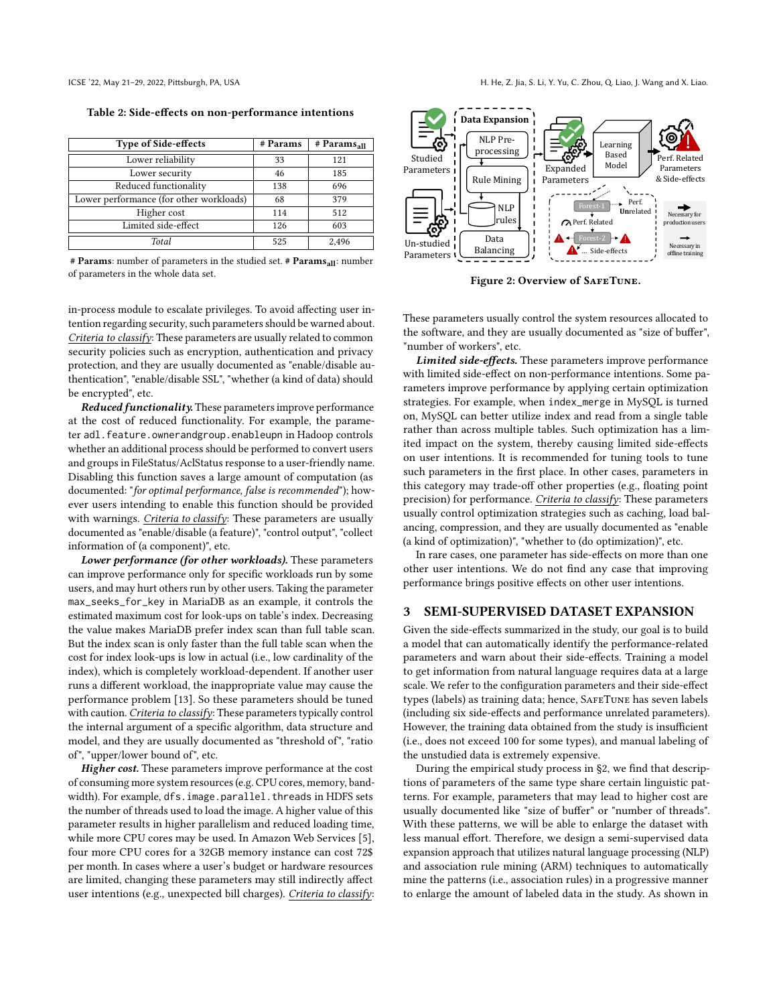<span id="page-3-0"></span>Table 2: Side-effects on non-performance intentions

| <b>Type of Side-effects</b>             | # Params | $#$ Params <sub>all</sub> |
|-----------------------------------------|----------|---------------------------|
| Lower reliability                       | 33       | 121                       |
| Lower security                          | 46       | 185                       |
| Reduced functionality                   | 138      | 696                       |
| Lower performance (for other workloads) | 68       | 379                       |
| Higher cost                             | 114      | 512                       |
| Limited side-effect                     | 126      | 603                       |
| Total                                   | 525      | 2.496                     |

 $#$  **Params:** number of parameters in the studied set.  $#$  **Params**<sub>all</sub>: number of parameters in the whole data set.

in-process module to escalate privileges. To avoid affecting user intention regarding security, such parameters should be warned about. Criteria to classify: These parameters are usually related to common security policies such as encryption, authentication and privacy protection, and they are usually documented as "enable/disable authentication", "enable/disable SSL", "whether (a kind of data) should be encrypted", etc.

Reduced functionality. These parameters improve performance at the cost of reduced functionality. For example, the parameter adl.feature.ownerandgroup.enableupn in Hadoop controls whether an additional process should be performed to convert users and groups in FileStatus/AclStatus response to a user-friendly name. Disabling this function saves a large amount of computation (as documented: "for optimal performance, false is recommended"); however users intending to enable this function should be provided with warnings. Criteria to classify: These parameters are usually documented as "enable/disable (a feature)", "control output", "collect information of (a component)", etc.

Lower performance (for other workloads). These parameters can improve performance only for specific workloads run by some users, and may hurt others run by other users. Taking the parameter max\_seeks\_for\_key in MariaDB as an example, it controls the estimated maximum cost for look-ups on table's index. Decreasing the value makes MariaDB prefer index scan than full table scan. But the index scan is only faster than the full table scan when the cost for index look-ups is low in actual (i.e., low cardinality of the index), which is completely workload-dependent. If another user runs a different workload, the inappropriate value may cause the performance problem [\[13\]](#page-10-5). So these parameters should be tuned with caution. Criteria to classify: These parameters typically control the internal argument of a specific algorithm, data structure and model, and they are usually documented as "threshold of", "ratio of", "upper/lower bound of", etc.

Higher cost. These parameters improve performance at the cost of consuming more system resources (e.g. CPU cores, memory, bandwidth). For example, dfs. image.parallel.threads in HDFS sets the number of threads used to load the image. A higher value of this parameter results in higher parallelism and reduced loading time, while more CPU cores may be used. In Amazon Web Services [\[5\]](#page-10-2), four more CPU cores for a 32GB memory instance can cost 72\$ per month. In cases where a user's budget or hardware resources are limited, changing these parameters may still indirectly affect user intentions (e.g., unexpected bill charges). Criteria to classify:

<span id="page-3-1"></span>

Figure 2: Overview of SafeTune.

These parameters usually control the system resources allocated to the software, and they are usually documented as "size of buffer", "number of workers", etc.

Limited side-effects. These parameters improve performance with limited side-effect on non-performance intentions. Some parameters improve performance by applying certain optimization strategies. For example, when index\_merge in MySQL is turned on, MySQL can better utilize index and read from a single table rather than across multiple tables. Such optimization has a limited impact on the system, thereby causing limited side-effects on user intentions. It is recommended for tuning tools to tune such parameters in the first place. In other cases, parameters in this category may trade-off other properties (e.g., floating point precision) for performance. Criteria to classify: These parameters usually control optimization strategies such as caching, load balancing, compression, and they are usually documented as "enable (a kind of optimization)", "whether to (do optimization)", etc.

In rare cases, one parameter has side-effects on more than one other user intentions. We do not find any case that improving performance brings positive effects on other user intentions.

## <span id="page-3-2"></span>3 SEMI-SUPERVISED DATASET EXPANSION

Given the side-effects summarized in the study, our goal is to build a model that can automatically identify the performance-related parameters and warn about their side-effects. Training a model to get information from natural language requires data at a large scale. We refer to the configuration parameters and their side-effect types (labels) as training data; hence, SafeTune has seven labels (including six side-effects and performance unrelated parameters). However, the training data obtained from the study is insufficient (i.e., does not exceed 100 for some types), and manual labeling of the unstudied data is extremely expensive.

During the empirical study process in [§2,](#page-1-1) we find that descriptions of parameters of the same type share certain linguistic patterns. For example, parameters that may lead to higher cost are usually documented like "size of buffer" or "number of threads". With these patterns, we will be able to enlarge the dataset with less manual effort. Therefore, we design a semi-supervised data expansion approach that utilizes natural language processing (NLP) and association rule mining (ARM) techniques to automatically mine the patterns (i.e., association rules) in a progressive manner to enlarge the amount of labeled data in the study. As shown in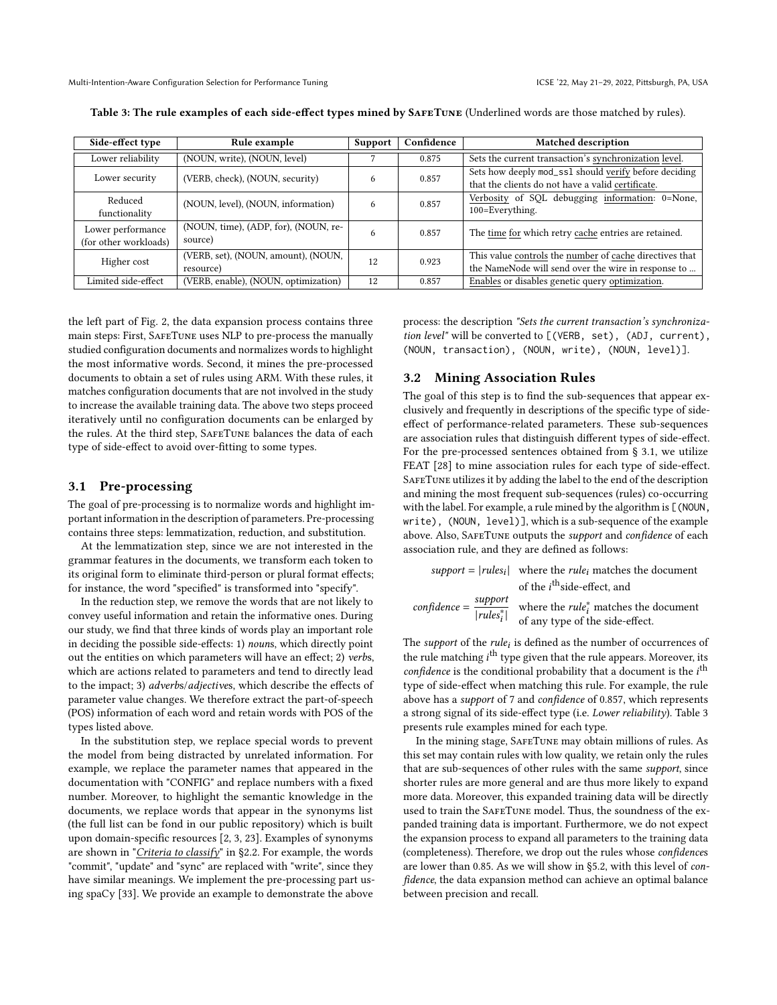| Side-effect type                           | Rule example                                     | <b>Support</b> | Confidence | <b>Matched description</b>                                                                                     |
|--------------------------------------------|--------------------------------------------------|----------------|------------|----------------------------------------------------------------------------------------------------------------|
| Lower reliability                          | (NOUN, write), (NOUN, level)                     |                | 0.875      | Sets the current transaction's synchronization level.                                                          |
| Lower security                             | (VERB, check), (NOUN, security)                  | 6              | 0.857      | Sets how deeply mod_ss1 should verify before deciding<br>that the clients do not have a valid certificate.     |
| Reduced<br>functionality                   | (NOUN, level), (NOUN, information)               | 6              | 0.857      | Verbosity of SQL debugging information: 0=None,<br>100=Everything.                                             |
| Lower performance<br>(for other workloads) | (NOUN, time), (ADP, for), (NOUN, re-<br>source)  | 6              | 0.857      | The time for which retry cache entries are retained.                                                           |
| Higher cost                                | (VERB, set), (NOUN, amount), (NOUN,<br>resource) | 12             | 0.923      | This value controls the number of cache directives that<br>the NameNode will send over the wire in response to |
| Limited side-effect                        | (VERB, enable), (NOUN, optimization)             | 12             | 0.857      | Enables or disables genetic query optimization.                                                                |

<span id="page-4-1"></span>Table 3: The rule examples of each side-effect types mined by SafeTune (Underlined words are those matched by rules).

the left part of Fig. [2,](#page-3-1) the data expansion process contains three main steps: First, SafeTune uses NLP to pre-process the manually studied configuration documents and normalizes words to highlight the most informative words. Second, it mines the pre-processed documents to obtain a set of rules using ARM. With these rules, it matches configuration documents that are not involved in the study to increase the available training data. The above two steps proceed iteratively until no configuration documents can be enlarged by the rules. At the third step, SafeTune balances the data of each type of side-effect to avoid over-fitting to some types.

#### <span id="page-4-0"></span>3.1 Pre-processing

The goal of pre-processing is to normalize words and highlight important information in the description of parameters. Pre-processing contains three steps: lemmatization, reduction, and substitution.

At the lemmatization step, since we are not interested in the grammar features in the documents, we transform each token to its original form to eliminate third-person or plural format effects; for instance, the word "specified" is transformed into "specify".

In the reduction step, we remove the words that are not likely to convey useful information and retain the informative ones. During our study, we find that three kinds of words play an important role in deciding the possible side-effects: 1) nouns, which directly point out the entities on which parameters will have an effect; 2) verbs, which are actions related to parameters and tend to directly lead to the impact; 3) adverbs/adjectives, which describe the effects of parameter value changes. We therefore extract the part-of-speech (POS) information of each word and retain words with POS of the types listed above.

In the substitution step, we replace special words to prevent the model from being distracted by unrelated information. For example, we replace the parameter names that appeared in the documentation with "CONFIG" and replace numbers with a fixed number. Moreover, to highlight the semantic knowledge in the documents, we replace words that appear in the synonyms list (the full list can be fond in our public repository) which is built upon domain-specific resources [\[2,](#page-10-6) [3,](#page-10-7) [23\]](#page-11-20). Examples of synonyms are shown in "*Criteria to classify*" in [§2.2.](#page-2-1) For example, the words "commit", "update" and "sync" are replaced with "write", since they have similar meanings. We implement the pre-processing part using spaCy [\[33\]](#page-11-21). We provide an example to demonstrate the above

process: the description "Sets the current transaction's synchronization level" will be converted to [(VERB, set), (ADJ, current), (NOUN, transaction), (NOUN, write), (NOUN, level)].

#### <span id="page-4-2"></span>3.2 Mining Association Rules

The goal of this step is to find the sub-sequences that appear exclusively and frequently in descriptions of the specific type of sideeffect of performance-related parameters. These sub-sequences are association rules that distinguish different types of side-effect. For the pre-processed sentences obtained from § [3.1,](#page-4-0) we utilize FEAT [\[28\]](#page-11-22) to mine association rules for each type of side-effect. SAFETUNE utilizes it by adding the label to the end of the description and mining the most frequent sub-sequences (rules) co-occurring with the label. For example, a rule mined by the algorithm is [(NOUN, write), (NOUN, level)], which is a sub-sequence of the example above. Also, SAFETUNE outputs the support and confidence of each association rule, and they are defined as follows:

 $support = |rules_i|$  where the *rule<sub>i</sub>* matches the document of the  $i^{\text{th}}$ side-effect, and confidence =  $\frac{\text{support}}{1 + \frac{1}{1 + \cdots}}$  $\frac{support}{rules_i^*}$  where the *rule<sub>i</sub>* matches the document | of any type of the side-effect.

The *support* of the *rule<sub>i</sub>* is defined as the number of occurrences of the rule matching *i*<sup>th</sup> type given that the rule appears. Moreover, its confidence is the conditional probability that a document is the  $i<sup>th</sup>$ type of side-effect when matching this rule. For example, the rule above has a support of 7 and confidence of 0.857, which represents a strong signal of its side-effect type (i.e. Lower reliability). Table [3](#page-4-1) presents rule examples mined for each type.

In the mining stage, SafeTune may obtain millions of rules. As this set may contain rules with low quality, we retain only the rules that are sub-sequences of other rules with the same support, since shorter rules are more general and are thus more likely to expand more data. Moreover, this expanded training data will be directly used to train the SafeTune model. Thus, the soundness of the expanded training data is important. Furthermore, we do not expect the expansion process to expand all parameters to the training data (completeness). Therefore, we drop out the rules whose confidences are lower than 0.85. As we will show in [§5.2,](#page-7-0) with this level of confidence, the data expansion method can achieve an optimal balance between precision and recall.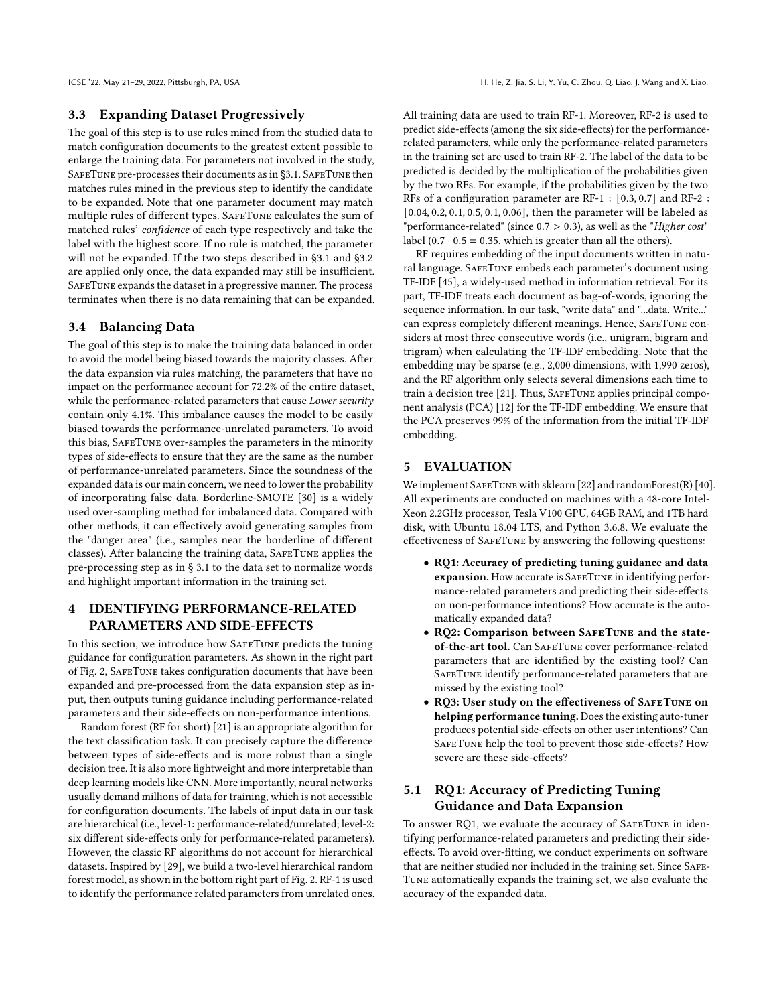## 3.3 Expanding Dataset Progressively

The goal of this step is to use rules mined from the studied data to match configuration documents to the greatest extent possible to enlarge the training data. For parameters not involved in the study, SAFETUNE pre-processes their documents as in [§3.1.](#page-4-0) SAFETUNE then matches rules mined in the previous step to identify the candidate to be expanded. Note that one parameter document may match multiple rules of different types. SafeTune calculates the sum of matched rules' confidence of each type respectively and take the label with the highest score. If no rule is matched, the parameter will not be expanded. If the two steps described in [§3.1](#page-4-0) and [§3.2](#page-4-2) are applied only once, the data expanded may still be insufficient. SafeTune expands the dataset in a progressive manner. The process terminates when there is no data remaining that can be expanded.

## 3.4 Balancing Data

The goal of this step is to make the training data balanced in order to avoid the model being biased towards the majority classes. After the data expansion via rules matching, the parameters that have no impact on the performance account for 72.2% of the entire dataset, while the performance-related parameters that cause Lower security contain only 4.1%. This imbalance causes the model to be easily biased towards the performance-unrelated parameters. To avoid this bias, SafeTune over-samples the parameters in the minority types of side-effects to ensure that they are the same as the number of performance-unrelated parameters. Since the soundness of the expanded data is our main concern, we need to lower the probability of incorporating false data. Borderline-SMOTE [\[30\]](#page-11-23) is a widely used over-sampling method for imbalanced data. Compared with other methods, it can effectively avoid generating samples from the "danger area" (i.e., samples near the borderline of different classes). After balancing the training data, SafeTune applies the pre-processing step as in § [3.1](#page-4-0) to the data set to normalize words and highlight important information in the training set.

## 4 IDENTIFYING PERFORMANCE-RELATED PARAMETERS AND SIDE-EFFECTS

In this section, we introduce how SafeTune predicts the tuning guidance for configuration parameters. As shown in the right part of Fig. [2,](#page-3-1) SafeTune takes configuration documents that have been expanded and pre-processed from the data expansion step as input, then outputs tuning guidance including performance-related parameters and their side-effects on non-performance intentions.

Random forest (RF for short) [\[21\]](#page-11-24) is an appropriate algorithm for the text classification task. It can precisely capture the difference between types of side-effects and is more robust than a single decision tree. It is also more lightweight and more interpretable than deep learning models like CNN. More importantly, neural networks usually demand millions of data for training, which is not accessible for configuration documents. The labels of input data in our task are hierarchical (i.e., level-1: performance-related/unrelated; level-2: six different side-effects only for performance-related parameters). However, the classic RF algorithms do not account for hierarchical datasets. Inspired by [\[29\]](#page-11-25), we build a two-level hierarchical random forest model, as shown in the bottom right part of Fig. [2.](#page-3-1) RF-1 is used to identify the performance related parameters from unrelated ones.

All training data are used to train RF-1. Moreover, RF-2 is used to predict side-effects (among the six side-effects) for the performancerelated parameters, while only the performance-related parameters in the training set are used to train RF-2. The label of the data to be predicted is decided by the multiplication of the probabilities given by the two RFs. For example, if the probabilities given by the two RFs of a configuration parameter are RF-1 : [0.3, 0.7] and RF-2 : [0.04, 0.2, 0.1, 0.5, 0.1, 0.06], then the parameter will be labeled as "performance-related" (since  $0.7 > 0.3$ ), as well as the "Higher cost" label  $(0.7 \cdot 0.5 = 0.35$ , which is greater than all the others).

RF requires embedding of the input documents written in natural language. SafeTune embeds each parameter's document using TF-IDF [\[45\]](#page-11-26), a widely-used method in information retrieval. For its part, TF-IDF treats each document as bag-of-words, ignoring the sequence information. In our task, "write data" and "...data. Write..." can express completely different meanings. Hence, SafeTune considers at most three consecutive words (i.e., unigram, bigram and trigram) when calculating the TF-IDF embedding. Note that the embedding may be sparse (e.g., 2,000 dimensions, with 1,990 zeros), and the RF algorithm only selects several dimensions each time to train a decision tree [\[21\]](#page-11-24). Thus, SAFETUNE applies principal component analysis (PCA) [\[12\]](#page-10-8) for the TF-IDF embedding. We ensure that the PCA preserves 99% of the information from the initial TF-IDF embedding.

## 5 EVALUATION

We implement SAFETUNE with sklearn [\[22\]](#page-11-27) and randomForest(R) [\[40\]](#page-11-28). All experiments are conducted on machines with a 48-core Intel-Xeon 2.2GHz processor, Tesla V100 GPU, 64GB RAM, and 1TB hard disk, with Ubuntu 18.04 LTS, and Python 3.6.8. We evaluate the effectiveness of SafeTune by answering the following questions:

- RQ1: Accuracy of predicting tuning guidance and data expansion. How accurate is SAFETUNE in identifying performance-related parameters and predicting their side-effects on non-performance intentions? How accurate is the automatically expanded data?
- RQ2: Comparison between SAFETUNE and the stateof-the-art tool. Can SafeTune cover performance-related parameters that are identified by the existing tool? Can SAFETUNE identify performance-related parameters that are missed by the existing tool?
- RQ3: User study on the effectiveness of SafeTune on helping performance tuning. Does the existing auto-tuner produces potential side-effects on other user intentions? Can SafeTune help the tool to prevent those side-effects? How severe are these side-effects?

# <span id="page-5-0"></span>5.1 RQ1: Accuracy of Predicting Tuning Guidance and Data Expansion

To answer RQ1, we evaluate the accuracy of SafeTune in identifying performance-related parameters and predicting their sideeffects. To avoid over-fitting, we conduct experiments on software that are neither studied nor included in the training set. Since SAFE-Tune automatically expands the training set, we also evaluate the accuracy of the expanded data.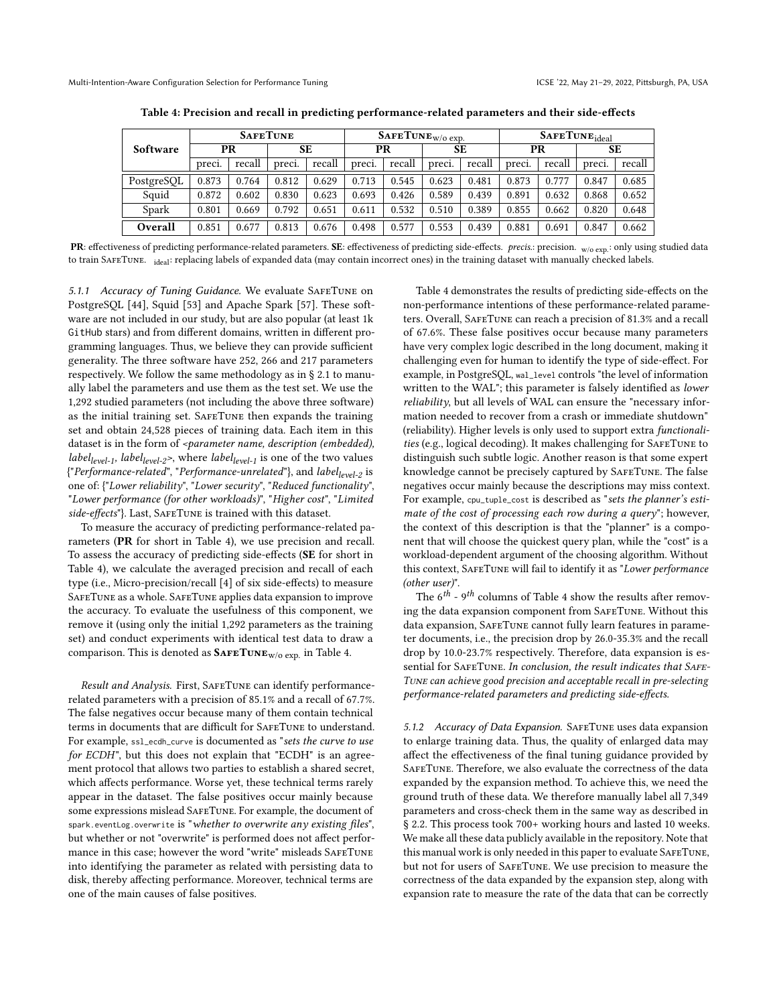<span id="page-6-0"></span>

|            | <b>SAFETUNE</b> |        |        | $\text{SAFETUNE}_{W/O}$ exp. |        |        |           | $S_{\text{AFETUNE}ideal}$ |        |        |        |        |
|------------|-----------------|--------|--------|------------------------------|--------|--------|-----------|---------------------------|--------|--------|--------|--------|
| Software   | PR              |        |        | SE                           | PR     |        | <b>SE</b> |                           | PR     |        | SЕ     |        |
|            | preci.          | recall | preci. | recall                       | preci. | recall | preci.    | recall                    | preci. | recall | preci. | recall |
| PostgreSQL | 0.873           | 0.764  | 0.812  | 0.629                        | 0.713  | 0.545  | 0.623     | 0.481                     | 0.873  | 0.777  | 0.847  | 0.685  |
| Squid      | 0.872           | 0.602  | 0.830  | 0.623                        | 0.693  | 0.426  | 0.589     | 0.439                     | 0.891  | 0.632  | 0.868  | 0.652  |
| Spark      | 0.801           | 0.669  | 0.792  | 0.651                        | 0.611  | 0.532  | 0.510     | 0.389                     | 0.855  | 0.662  | 0.820  | 0.648  |
| Overall    | 0.851           | 0.677  | 0.813  | 0.676                        | 0.498  | 0.577  | 0.553     | 0.439                     | 0.881  | 0.691  | 0.847  | 0.662  |

Table 4: Precision and recall in predicting performance-related parameters and their side-effects

PR: effectiveness of predicting performance-related parameters. SE: effectiveness of predicting side-effects. precision.  $w/o$  exp.: only using studied data to train SAFETUNE. <sub>ideal</sub>: replacing labels of expanded data (may contain incorrect ones) in the training dataset with manually checked labels.

5.1.1 Accuracy of Tuning Guidance. We evaluate SafeTune on PostgreSQL [\[44\]](#page-11-29), Squid [\[53\]](#page-11-30) and Apache Spark [\[57\]](#page-11-31). These software are not included in our study, but are also popular (at least 1k GitHub stars) and from different domains, written in different programming languages. Thus, we believe they can provide sufficient generality. The three software have 252, 266 and 217 parameters respectively. We follow the same methodology as in § [2.1](#page-2-2) to manually label the parameters and use them as the test set. We use the 1,292 studied parameters (not including the above three software) as the initial training set. SAFETUNE then expands the training set and obtain 24,528 pieces of training data. Each item in this dataset is in the form of <parameter name, description (embedded), *label<sub>level-1</sub>*, *label<sub>level-2*>, where *label<sub>level-1</sub>* is one of the two values</sub> {"Performance-related", "Performance-unrelated"}, and label<sub>level-2</sub> is one of: {"Lower reliability", "Lower security", "Reduced functionality", "Lower performance (for other workloads)", "Higher cost", "Limited side-effects"}. Last, SAFETUNE is trained with this dataset.

To measure the accuracy of predicting performance-related parameters (PR for short in Table [4\)](#page-6-0), we use precision and recall. To assess the accuracy of predicting side-effects (SE for short in Table [4\)](#page-6-0), we calculate the averaged precision and recall of each type (i.e., Micro-precision/recall [\[4\]](#page-10-9) of six side-effects) to measure SafeTune as a whole. SafeTune applies data expansion to improve the accuracy. To evaluate the usefulness of this component, we remove it (using only the initial 1,292 parameters as the training set) and conduct experiments with identical test data to draw a comparison. This is denoted as  $\text{SAFETUNE}_{W/O\exp}$  in Table [4.](#page-6-0)

Result and Analysis. First, SAFETUNE can identify performancerelated parameters with a precision of 85.1% and a recall of 67.7%. The false negatives occur because many of them contain technical terms in documents that are difficult for SafeTune to understand. For example, ssl\_ecdh\_curve is documented as "sets the curve to use for ECDH", but this does not explain that "ECDH" is an agreement protocol that allows two parties to establish a shared secret, which affects performance. Worse yet, these technical terms rarely appear in the dataset. The false positives occur mainly because some expressions mislead SafeTune. For example, the document of spark.eventLog.overwrite is "whether to overwrite any existing files", but whether or not "overwrite" is performed does not affect performance in this case; however the word "write" misleads SafeTune into identifying the parameter as related with persisting data to disk, thereby affecting performance. Moreover, technical terms are one of the main causes of false positives.

Table [4](#page-6-0) demonstrates the results of predicting side-effects on the non-performance intentions of these performance-related parameters. Overall, SafeTune can reach a precision of 81.3% and a recall of 67.6%. These false positives occur because many parameters have very complex logic described in the long document, making it challenging even for human to identify the type of side-effect. For example, in PostgreSQL, wal\_level controls "the level of information written to the WAL"; this parameter is falsely identified as lower reliability, but all levels of WAL can ensure the "necessary information needed to recover from a crash or immediate shutdown" (reliability). Higher levels is only used to support extra functionalities (e.g., logical decoding). It makes challenging for SafeTune to distinguish such subtle logic. Another reason is that some expert knowledge cannot be precisely captured by SafeTune. The false negatives occur mainly because the descriptions may miss context. For example, cpu\_tuple\_cost is described as "sets the planner's estimate of the cost of processing each row during a query"; however, the context of this description is that the "planner" is a component that will choose the quickest query plan, while the "cost" is a workload-dependent argument of the choosing algorithm. Without this context, SAFETUNE will fail to identify it as "Lower performance (other user)".

The  $6^{th}$  -  $9^{th}$  columns of Table [4](#page-6-0) show the results after removing the data expansion component from SAFETUNE. Without this data expansion, SAFETUNE cannot fully learn features in parameter documents, i.e., the precision drop by 26.0-35.3% and the recall drop by 10.0-23.7% respectively. Therefore, data expansion is essential for SAFETUNE. In conclusion, the result indicates that SAFE-Tune can achieve good precision and acceptable recall in pre-selecting performance-related parameters and predicting side-effects.

5.1.2 Accuracy of Data Expansion. SafeTune uses data expansion to enlarge training data. Thus, the quality of enlarged data may affect the effectiveness of the final tuning guidance provided by SafeTune. Therefore, we also evaluate the correctness of the data expanded by the expansion method. To achieve this, we need the ground truth of these data. We therefore manually label all 7,349 parameters and cross-check them in the same way as described in § [2.2.](#page-2-1) This process took 700+ working hours and lasted 10 weeks. We make all these data publicly available in the repository. Note that this manual work is only needed in this paper to evaluate SAFETUNE, but not for users of SafeTune. We use precision to measure the correctness of the data expanded by the expansion step, along with expansion rate to measure the rate of the data that can be correctly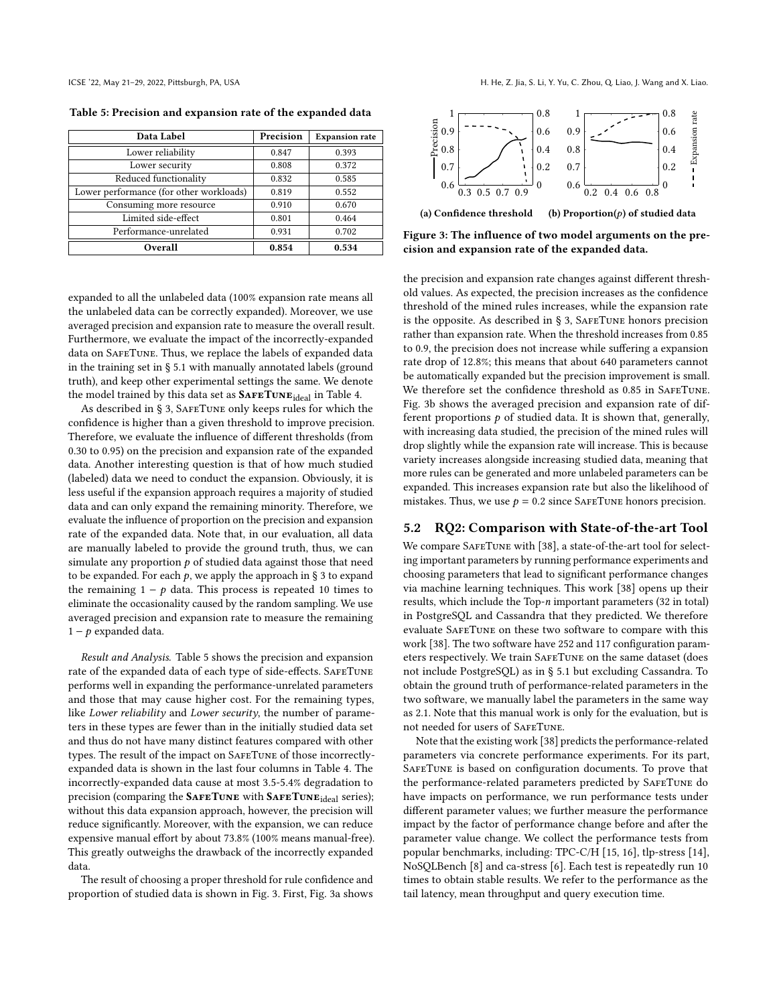<span id="page-7-1"></span>Table 5: Precision and expansion rate of the expanded data

| Data Label                              | Precision | <b>Expansion rate</b> |
|-----------------------------------------|-----------|-----------------------|
| Lower reliability                       | 0.847     | 0.393                 |
| Lower security                          | 0.808     | 0.372                 |
| Reduced functionality                   | 0.832     | 0.585                 |
| Lower performance (for other workloads) | 0.819     | 0.552                 |
| Consuming more resource                 | 0.910     | 0.670                 |
| Limited side-effect                     | 0.801     | 0.464                 |
| Performance-unrelated                   | 0.931     | 0.702                 |
| Overall                                 | 0.854     | 0.534                 |

expanded to all the unlabeled data (100% expansion rate means all the unlabeled data can be correctly expanded). Moreover, we use averaged precision and expansion rate to measure the overall result. Furthermore, we evaluate the impact of the incorrectly-expanded data on SAFETUNE. Thus, we replace the labels of expanded data in the training set in § [5.1](#page-5-0) with manually annotated labels (ground truth), and keep other experimental settings the same. We denote the model trained by this data set as  $\text{SATETUNE}_{ideal}$  in Table [4.](#page-6-0)

As described in § [3,](#page-3-2) SAFETUNE only keeps rules for which the confidence is higher than a given threshold to improve precision. Therefore, we evaluate the influence of different thresholds (from 0.30 to 0.95) on the precision and expansion rate of the expanded data. Another interesting question is that of how much studied (labeled) data we need to conduct the expansion. Obviously, it is less useful if the expansion approach requires a majority of studied data and can only expand the remaining minority. Therefore, we evaluate the influence of proportion on the precision and expansion rate of the expanded data. Note that, in our evaluation, all data are manually labeled to provide the ground truth, thus, we can simulate any proportion  $p$  of studied data against those that need to be expanded. For each  $p$ , we apply the approach in § [3](#page-3-2) to expand the remaining  $1 - p$  data. This process is repeated 10 times to eliminate the occasionality caused by the random sampling. We use averaged precision and expansion rate to measure the remaining  $1 - p$  expanded data.

Result and Analysis. Table [5](#page-7-1) shows the precision and expansion rate of the expanded data of each type of side-effects. SafeTune performs well in expanding the performance-unrelated parameters and those that may cause higher cost. For the remaining types, like Lower reliability and Lower security, the number of parameters in these types are fewer than in the initially studied data set and thus do not have many distinct features compared with other types. The result of the impact on SafeTune of those incorrectlyexpanded data is shown in the last four columns in Table [4.](#page-6-0) The incorrectly-expanded data cause at most 3.5-5.4% degradation to precision (comparing the SAFETUNE with SAFETUNE<sub>ideal</sub> series); without this data expansion approach, however, the precision will reduce significantly. Moreover, with the expansion, we can reduce expensive manual effort by about 73.8% (100% means manual-free). This greatly outweighs the drawback of the incorrectly expanded data.

The result of choosing a proper threshold for rule confidence and proportion of studied data is shown in Fig. [3.](#page-7-2) First, Fig. [3a](#page-7-2) shows

<span id="page-7-2"></span>

<span id="page-7-3"></span>(a) Confidence threshold (b) Proportion( $p$ ) of studied data

Figure 3: The influence of two model arguments on the precision and expansion rate of the expanded data.

the precision and expansion rate changes against different threshold values. As expected, the precision increases as the confidence threshold of the mined rules increases, while the expansion rate is the opposite. As described in  $\S$  [3,](#page-3-2) SAFETUNE honors precision rather than expansion rate. When the threshold increases from 0.85 to 0.9, the precision does not increase while suffering a expansion rate drop of 12.8%; this means that about 640 parameters cannot be automatically expanded but the precision improvement is small. We therefore set the confidence threshold as 0.85 in SAFETUNE. Fig. [3b](#page-7-2) shows the averaged precision and expansion rate of different proportions  $p$  of studied data. It is shown that, generally, with increasing data studied, the precision of the mined rules will drop slightly while the expansion rate will increase. This is because variety increases alongside increasing studied data, meaning that more rules can be generated and more unlabeled parameters can be expanded. This increases expansion rate but also the likelihood of mistakes. Thus, we use  $p = 0.2$  since SAFETUNE honors precision.

## <span id="page-7-0"></span>5.2 RQ2: Comparison with State-of-the-art Tool

We compare SAFETUNE with [\[38\]](#page-11-13), a state-of-the-art tool for selecting important parameters by running performance experiments and choosing parameters that lead to significant performance changes via machine learning techniques. This work [\[38\]](#page-11-13) opens up their results, which include the Top-n important parameters (32 in total) in PostgreSQL and Cassandra that they predicted. We therefore evaluate SafeTune on these two software to compare with this work [\[38\]](#page-11-13). The two software have 252 and 117 configuration parameters respectively. We train SafeTune on the same dataset (does not include PostgreSQL) as in § [5.1](#page-5-0) but excluding Cassandra. To obtain the ground truth of performance-related parameters in the two software, we manually label the parameters in the same way as [2.1.](#page-2-2) Note that this manual work is only for the evaluation, but is not needed for users of SafeTune.

Note that the existing work [\[38\]](#page-11-13) predicts the performance-related parameters via concrete performance experiments. For its part, SafeTune is based on configuration documents. To prove that the performance-related parameters predicted by SafeTune do have impacts on performance, we run performance tests under different parameter values; we further measure the performance impact by the factor of performance change before and after the parameter value change. We collect the performance tests from popular benchmarks, including: TPC-C/H [\[15,](#page-10-10) [16\]](#page-10-11), tlp-stress [\[14\]](#page-10-12), NoSQLBench [\[8\]](#page-10-13) and ca-stress [\[6\]](#page-10-14). Each test is repeatedly run 10 times to obtain stable results. We refer to the performance as the tail latency, mean throughput and query execution time.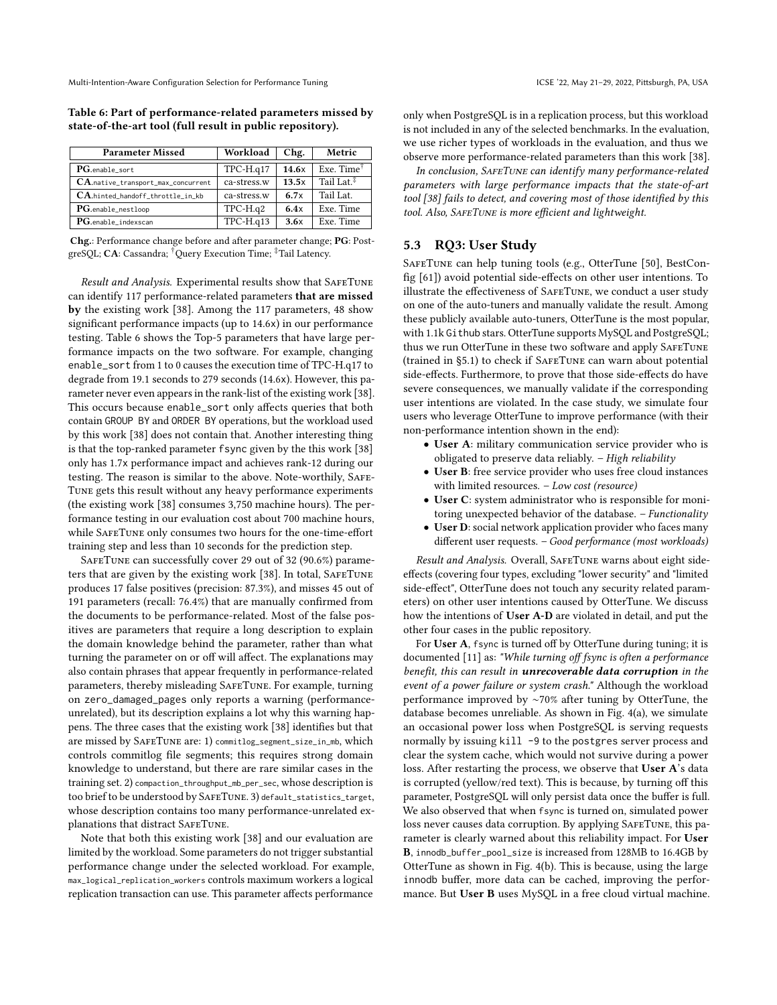| <b>Parameter Missed</b>            | Workload     | Chg.  | Metric                 |
|------------------------------------|--------------|-------|------------------------|
| PG.enable sort                     | $TPC-H.q17$  | 14.6x | Exe. Time $^{\dagger}$ |
| CA.native_transport_max_concurrent | ca-stress.w  | 13.5x | Tail Lat. $\ddagger$   |
| CA.hinted_handoff_throttle_in_kb   | ca-stress.w  | 6.7x  | Tail Lat.              |
| PG.enable_nestloop                 | $TPC-H.q2$   | 6.4x  | Exe. Time              |
| PG.enable_indexscan                | $TPC-H. q13$ | 3.6x  | Exe. Time              |

<span id="page-8-0"></span>Table 6: Part of performance-related parameters missed by state-of-the-art tool (full result in public repository).

Chg.: Performance change before and after parameter change; PG: PostgreSQL; CA: Cassandra; †Query Execution Time; ‡Tail Latency.

Result and Analysis. Experimental results show that SAFETUNE can identify 117 performance-related parameters that are missed by the existing work [\[38\]](#page-11-13). Among the 117 parameters, 48 show significant performance impacts (up to 14.6x) in our performance testing. Table [6](#page-8-0) shows the Top-5 parameters that have large performance impacts on the two software. For example, changing enable sort from 1 to 0 causes the execution time of TPC-H.q17 to degrade from 19.1 seconds to 279 seconds (14.6x). However, this parameter never even appears in the rank-list of the existing work [\[38\]](#page-11-13). This occurs because enable\_sort only affects queries that both contain GROUP BY and ORDER BY operations, but the workload used by this work [\[38\]](#page-11-13) does not contain that. Another interesting thing is that the top-ranked parameter fsync given by the this work [\[38\]](#page-11-13) only has 1.7x performance impact and achieves rank-12 during our testing. The reason is similar to the above. Note-worthily, SAFE-Tune gets this result without any heavy performance experiments (the existing work [\[38\]](#page-11-13) consumes 3,750 machine hours). The performance testing in our evaluation cost about 700 machine hours, while SAFETUNE only consumes two hours for the one-time-effort training step and less than 10 seconds for the prediction step.

SAFETUNE can successfully cover 29 out of 32 (90.6%) parame-ters that are given by the existing work [\[38\]](#page-11-13). In total, SAFETUNE produces 17 false positives (precision: 87.3%), and misses 45 out of 191 parameters (recall: 76.4%) that are manually confirmed from the documents to be performance-related. Most of the false positives are parameters that require a long description to explain the domain knowledge behind the parameter, rather than what turning the parameter on or off will affect. The explanations may also contain phrases that appear frequently in performance-related parameters, thereby misleading SafeTune. For example, turning on zero\_damaged\_pages only reports a warning (performanceunrelated), but its description explains a lot why this warning happens. The three cases that the existing work [\[38\]](#page-11-13) identifies but that are missed by SafeTune are: 1) commitlog\_segment\_size\_in\_mb, which controls commitlog file segments; this requires strong domain knowledge to understand, but there are rare similar cases in the training set. 2) compaction\_throughput\_mb\_per\_sec, whose description is too brief to be understood by SafeTune. 3) default\_statistics\_target, whose description contains too many performance-unrelated explanations that distract SAFETUNE.

Note that both this existing work [\[38\]](#page-11-13) and our evaluation are limited by the workload. Some parameters do not trigger substantial performance change under the selected workload. For example, max\_logical\_replication\_workers controls maximum workers a logical replication transaction can use. This parameter affects performance

only when PostgreSQL is in a replication process, but this workload is not included in any of the selected benchmarks. In the evaluation, we use richer types of workloads in the evaluation, and thus we observe more performance-related parameters than this work [\[38\]](#page-11-13).

In conclusion, SAFETUNE can identify many performance-related parameters with large performance impacts that the state-of-art tool [\[38\]](#page-11-13) fails to detect, and covering most of those identified by this tool. Also, SAFETUNE is more efficient and lightweight.

#### <span id="page-8-1"></span>5.3 RQ3: User Study

SafeTune can help tuning tools (e.g., OtterTune [\[50\]](#page-11-14), BestConfig [\[61\]](#page-11-10)) avoid potential side-effects on other user intentions. To illustrate the effectiveness of SafeTune, we conduct a user study on one of the auto-tuners and manually validate the result. Among these publicly available auto-tuners, OtterTune is the most popular, with 1.1k Github stars. OtterTune supports MySQL and PostgreSQL; thus we run OtterTune in these two software and apply SafeTune (trained in [§5.1\)](#page-5-0) to check if SafeTune can warn about potential side-effects. Furthermore, to prove that those side-effects do have severe consequences, we manually validate if the corresponding user intentions are violated. In the case study, we simulate four users who leverage OtterTune to improve performance (with their non-performance intention shown in the end):

- User A: military communication service provider who is obligated to preserve data reliably. – High reliability
- User B: free service provider who uses free cloud instances with limited resources. - Low cost (resource)
- User C: system administrator who is responsible for monitoring unexpected behavior of the database. - Functionality
- User D: social network application provider who faces many different user requests. - Good performance (most workloads)

Result and Analysis. Overall, SAFETUNE warns about eight sideeffects (covering four types, excluding "lower security" and "limited side-effect", OtterTune does not touch any security related parameters) on other user intentions caused by OtterTune. We discuss how the intentions of User A-D are violated in detail, and put the other four cases in the public repository.

For User A, fsync is turned off by OtterTune during tuning; it is documented [\[11\]](#page-10-15) as: "While turning off fsync is often a performance benefit, this can result in unrecoverable data corruption in the event of a power failure or system crash." Although the workload performance improved by ∼70% after tuning by OtterTune, the database becomes unreliable. As shown in Fig. [4\(](#page-9-0)a), we simulate an occasional power loss when PostgreSQL is serving requests normally by issuing kill -9 to the postgres server process and clear the system cache, which would not survive during a power loss. After restarting the process, we observe that User A's data is corrupted (yellow/red text). This is because, by turning off this parameter, PostgreSQL will only persist data once the buffer is full. We also observed that when fsync is turned on, simulated power loss never causes data corruption. By applying SafeTune, this parameter is clearly warned about this reliability impact. For User B, innodb\_buffer\_pool\_size is increased from 128MB to 16.4GB by OtterTune as shown in Fig. [4\(](#page-9-0)b). This is because, using the large innodb buffer, more data can be cached, improving the performance. But User B uses MySQL in a free cloud virtual machine.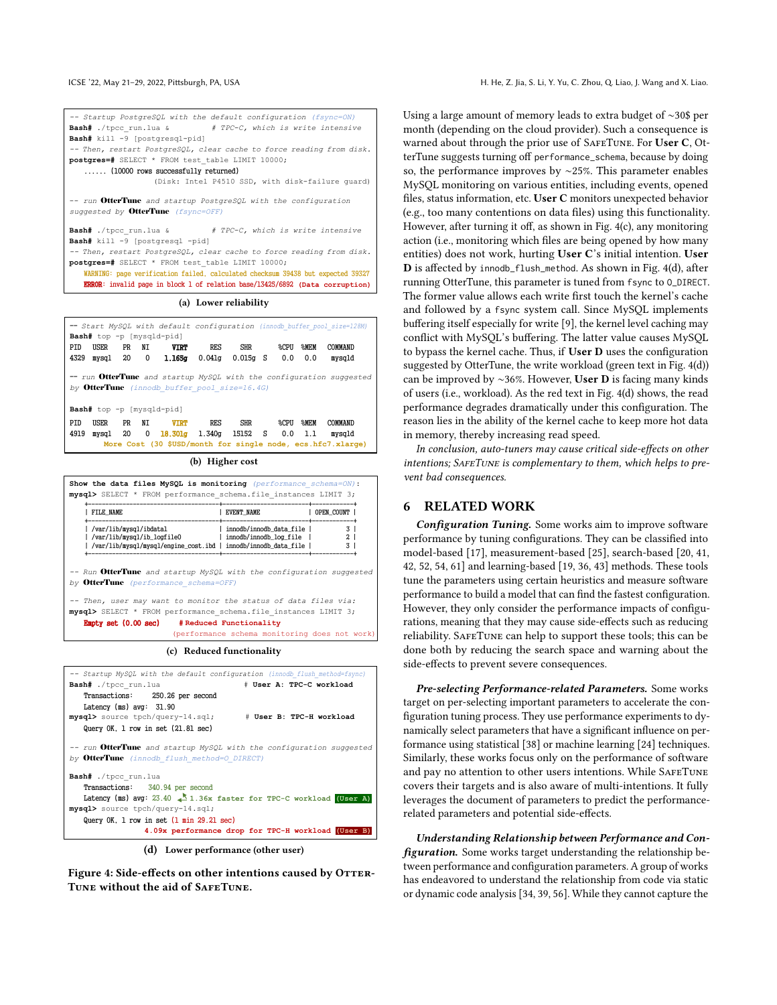<span id="page-9-0"></span>

| -- Startup PostgreSQL with the default configuration (fsync=ON)<br><b>Bash#</b> ./tpcc run.lua & # TPC-C, which is write intensive<br>Bash# kill -9 [postgresgl-pid]<br>-- Then, restart PostgreSQL, clear cache to force reading from disk.<br>postgres=# SELECT * FROM test table LIMIT 10000;<br>(10000 rows successfully returned)<br>(Disk: Intel P4510 SSD, with disk-failure quard)           |  |  |  |  |  |  |
|------------------------------------------------------------------------------------------------------------------------------------------------------------------------------------------------------------------------------------------------------------------------------------------------------------------------------------------------------------------------------------------------------|--|--|--|--|--|--|
| -- run OtterTune and startup PostgreSQL with the configuration<br>suggested by OtterTune (fsync=OFF)                                                                                                                                                                                                                                                                                                 |  |  |  |  |  |  |
| <b>Bash#</b> ./tpcc run.lua & # $TPC-C$ , which is write intensive<br>Bash# kill -9 [postgresql -pid]<br>-- Then, restart PostgreSQL, clear cache to force reading from disk.<br>postgres=# SELECT * FROM test table LIMIT 10000;<br>WARNING: page verification failed, calculated checksum 39438 but expected 39327<br>ERROR: invalid page in block 1 of relation base/13425/6892 (Data corruption) |  |  |  |  |  |  |
| (a) Lower reliability                                                                                                                                                                                                                                                                                                                                                                                |  |  |  |  |  |  |
| -- Start MySQL with default configuration (innodb buffer pool size=128M)<br>Bash# top -p [mysqld-pid]<br>USER PR<br>SHR %CPU<br>COMMAND<br>PID<br>NT<br><b>VIRT</b><br>RES<br><b>SMEM</b>                                                                                                                                                                                                            |  |  |  |  |  |  |
| 4329 mysql 20 0<br><b>1.165g</b> 0.041g 0.015g S 0.0 0.0<br>mysqld                                                                                                                                                                                                                                                                                                                                   |  |  |  |  |  |  |
| -- run OtterTune and startup MySQL with the configuration suggested<br>by OtterTune (innodb buffer pool size=16.4G)<br>Bash# top -p [mysqld-pid]                                                                                                                                                                                                                                                     |  |  |  |  |  |  |
| PID<br>USER<br>PR<br>NT<br><b>VIRT</b> RES<br>SHR %CPU<br>%MEM<br>COMMAND<br>0 $18.301g$ 1.340g 15152 S 0.0<br>4919 mysql<br>20<br>1.1<br>mvsald<br>More Cost (30 \$USD/month for single node, ecs.hfc7.xlarge)                                                                                                                                                                                      |  |  |  |  |  |  |

(b) Higher cost

| Show the data files MySQL is monitoring (performance schema=ON):<br>mysql> SELECT * FROM performance schema.file instances LIMIT 3; |                                                       |              |
|-------------------------------------------------------------------------------------------------------------------------------------|-------------------------------------------------------|--------------|
| FILE NAME                                                                                                                           | EVENT NAME                                            | OPEN COUNT   |
| /var/lib/mysql/ibdatal<br>  /var/lib/mysql/ib_logfile0<br>  /var/lib/mysql/mysql/engine_cost.ibd   innodb/innodb_data_file          | innodb/innodb data file  <br>  innodb/innodb log file | $\mathbf{2}$ |

*-- Run* OtterTune *and startup MySQL with the configuration suggested by* OtterTune *(performance\_schema=OFF)*

*-- Then, user may want to monitor the status of data files via:* **mysql>** SELECT \* FROM performance\_schema.file\_instances LIMIT 3; Empty set (0.00 sec) **# Reduced Functionality** 

(performance schema monitoring does not work)

(c) Reduced functionality



(d) Lower performance (other user)

Figure 4: Side-effects on other intentions caused by OTTER-Tune without the aid of SafeTune.

Using a large amount of memory leads to extra budget of ∼30\$ per month (depending on the cloud provider). Such a consequence is warned about through the prior use of SAFETUNE. For User C, OtterTune suggests turning off performance\_schema, because by doing so, the performance improves by ∼25%. This parameter enables MySQL monitoring on various entities, including events, opened files, status information, etc. User C monitors unexpected behavior (e.g., too many contentions on data files) using this functionality. However, after turning it off, as shown in Fig. [4\(](#page-9-0)c), any monitoring action (i.e., monitoring which files are being opened by how many entities) does not work, hurting User C's initial intention. User D is affected by innodb\_flush\_method. As shown in Fig. [4\(](#page-9-0)d), after running OtterTune, this parameter is tuned from fsync to O\_DIRECT. The former value allows each write first touch the kernel's cache and followed by a fsync system call. Since MySQL implements buffering itself especially for write [\[9\]](#page-10-16), the kernel level caching may conflict with MySQL's buffering. The latter value causes MySQL to bypass the kernel cache. Thus, if User D uses the configuration suggested by OtterTune, the write workload (green text in Fig. [4\(](#page-9-0)d)) can be improved by ∼36%. However, User D is facing many kinds of users (i.e., workload). As the red text in Fig. [4\(](#page-9-0)d) shows, the read performance degrades dramatically under this configuration. The reason lies in the ability of the kernel cache to keep more hot data in memory, thereby increasing read speed.

In conclusion, auto-tuners may cause critical side-effects on other  $intentions; S_{AFE}$ TUNE is complementary to them, which helps to prevent bad consequences.

#### 6 RELATED WORK

Configuration Tuning. Some works aim to improve software performance by tuning configurations. They can be classified into model-based [\[17\]](#page-10-0), measurement-based [\[25\]](#page-11-4), search-based [\[20,](#page-11-3) [41,](#page-11-6) [42,](#page-11-32) [52,](#page-11-8) [54,](#page-11-9) [61\]](#page-11-10) and learning-based [\[19,](#page-11-33) [36,](#page-11-5) [43\]](#page-11-7) methods. These tools tune the parameters using certain heuristics and measure software performance to build a model that can find the fastest configuration. However, they only consider the performance impacts of configurations, meaning that they may cause side-effects such as reducing reliability. SafeTune can help to support these tools; this can be done both by reducing the search space and warning about the side-effects to prevent severe consequences.

Pre-selecting Performance-related Parameters. Some works target on per-selecting important parameters to accelerate the configuration tuning process. They use performance experiments to dynamically select parameters that have a significant influence on performance using statistical [\[38\]](#page-11-13) or machine learning [\[24\]](#page-11-12) techniques. Similarly, these works focus only on the performance of software and pay no attention to other users intentions. While SAFETUNE covers their targets and is also aware of multi-intentions. It fully leverages the document of parameters to predict the performancerelated parameters and potential side-effects.

Understanding Relationship between Performance and Configuration. Some works target understanding the relationship between performance and configuration parameters. A group of works has endeavored to understand the relationship from code via static or dynamic code analysis [\[34,](#page-11-34) [39,](#page-11-35) [56\]](#page-11-36). While they cannot capture the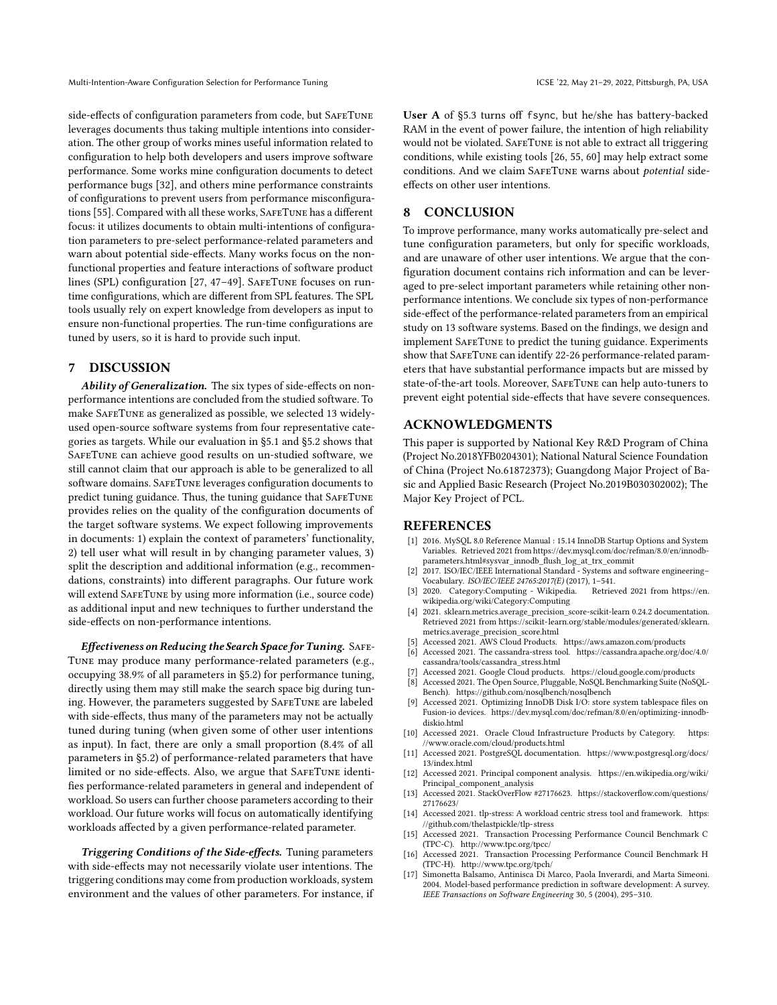Multi-Intention-Aware Configuration Selection for Performance Tuning ICSE '22, May 21-29, 2022, Pittsburgh, PA, USA

side-effects of configuration parameters from code, but SAFETUNE leverages documents thus taking multiple intentions into consideration. The other group of works mines useful information related to configuration to help both developers and users improve software performance. Some works mine configuration documents to detect performance bugs [\[32\]](#page-11-37), and others mine performance constraints of configurations to prevent users from performance misconfigurations [\[55\]](#page-11-38). Compared with all these works, SafeTune has a different focus: it utilizes documents to obtain multi-intentions of configuration parameters to pre-select performance-related parameters and warn about potential side-effects. Many works focus on the nonfunctional properties and feature interactions of software product lines (SPL) configuration [\[27,](#page-11-39) [47](#page-11-40)-49]. SAFETUNE focuses on runtime configurations, which are different from SPL features. The SPL tools usually rely on expert knowledge from developers as input to ensure non-functional properties. The run-time configurations are tuned by users, so it is hard to provide such input.

## 7 DISCUSSION

Ability of Generalization. The six types of side-effects on nonperformance intentions are concluded from the studied software. To make SafeTune as generalized as possible, we selected 13 widelyused open-source software systems from four representative categories as targets. While our evaluation in [§5.1](#page-5-0) and [§5.2](#page-7-0) shows that SAFETUNE can achieve good results on un-studied software, we still cannot claim that our approach is able to be generalized to all software domains. SafeTune leverages configuration documents to predict tuning guidance. Thus, the tuning guidance that SAFETUNE provides relies on the quality of the configuration documents of the target software systems. We expect following improvements in documents: 1) explain the context of parameters' functionality, 2) tell user what will result in by changing parameter values, 3) split the description and additional information (e.g., recommendations, constraints) into different paragraphs. Our future work will extend SafeTune by using more information (i.e., source code) as additional input and new techniques to further understand the side-effects on non-performance intentions.

Effectiveness on Reducing the Search Space for Tuning. SAFE-Tune may produce many performance-related parameters (e.g., occupying 38.9% of all parameters in [§5.2\)](#page-7-0) for performance tuning, directly using them may still make the search space big during tuning. However, the parameters suggested by SAFETUNE are labeled with side-effects, thus many of the parameters may not be actually tuned during tuning (when given some of other user intentions as input). In fact, there are only a small proportion (8.4% of all parameters in [§5.2\)](#page-7-0) of performance-related parameters that have limited or no side-effects. Also, we argue that SAFETUNE identifies performance-related parameters in general and independent of workload. So users can further choose parameters according to their workload. Our future works will focus on automatically identifying workloads affected by a given performance-related parameter.

Triggering Conditions of the Side-effects. Tuning parameters with side-effects may not necessarily violate user intentions. The triggering conditions may come from production workloads, system environment and the values of other parameters. For instance, if User A of [§5.3](#page-8-1) turns off fsync, but he/she has battery-backed RAM in the event of power failure, the intention of high reliability would not be violated. SafeTune is not able to extract all triggering conditions, while existing tools [\[26,](#page-11-42) [55,](#page-11-38) [60\]](#page-11-43) may help extract some conditions. And we claim SAFETUNE warns about potential sideeffects on other user intentions.

## 8 CONCLUSION

To improve performance, many works automatically pre-select and tune configuration parameters, but only for specific workloads, and are unaware of other user intentions. We argue that the configuration document contains rich information and can be leveraged to pre-select important parameters while retaining other nonperformance intentions. We conclude six types of non-performance side-effect of the performance-related parameters from an empirical study on 13 software systems. Based on the findings, we design and implement SafeTune to predict the tuning guidance. Experiments show that SAFETUNE can identify 22-26 performance-related parameters that have substantial performance impacts but are missed by state-of-the-art tools. Moreover, SafeTune can help auto-tuners to prevent eight potential side-effects that have severe consequences.

## ACKNOWLEDGMENTS

This paper is supported by National Key R&D Program of China (Project No.2018YFB0204301); National Natural Science Foundation of China (Project No.61872373); Guangdong Major Project of Basic and Applied Basic Research (Project No.2019B030302002); The Major Key Project of PCL.

#### **REFERENCES**

- <span id="page-10-1"></span>[1] 2016. MySQL 8.0 Reference Manual : 15.14 InnoDB Startup Options and System Variables. Retrieved 2021 from [https://dev.mysql.com/doc/refman/8.0/en/innodb](https://dev.mysql.com/doc/refman/8.0/en/innodb-parameters.html#sysvar_innodb_flush_log_at_trx_commit)[parameters.html#sysvar\\_innodb\\_flush\\_log\\_at\\_trx\\_commit](https://dev.mysql.com/doc/refman/8.0/en/innodb-parameters.html#sysvar_innodb_flush_log_at_trx_commit)
- <span id="page-10-6"></span>[2] 2017. ISO/IEC/IEEE International Standard - Systems and software engineering– Vocabulary. *ISO/IEC/IEEE 24765:2017(E)* (2017), 1–541.<br>2020. Category:Computing - Wikipedia. Retrieved 2021 from https://en.
- <span id="page-10-7"></span>[3] 2020. Category:Computing - Wikipedia. [wikipedia.org/wiki/Category:Computing](https://en.wikipedia.org/wiki/Category:Computing)
- <span id="page-10-9"></span>[4] 2021. sklearn.metrics.average\_precision\_score-scikit-learn 0.24.2 documentation. Retrieved 2021 from [https://scikit-learn.org/stable/modules/generated/sklearn.](https://scikit-learn.org/stable/modules/generated/sklearn.metrics.average_precision_score.html) [metrics.average\\_precision\\_score.html](https://scikit-learn.org/stable/modules/generated/sklearn.metrics.average_precision_score.html)
- <span id="page-10-2"></span>Accessed 2021. AWS Cloud Products.<https://aws.amazon.com/products>
- <span id="page-10-14"></span>[6] Accessed 2021. The cassandra-stress tool. [https://cassandra.apache.org/doc/4.0/](https://cassandra.apache.org/doc/4.0/cassandra/tools/cassandra_stress.html) [cassandra/tools/cassandra\\_stress.html](https://cassandra.apache.org/doc/4.0/cassandra/tools/cassandra_stress.html)
- <span id="page-10-3"></span>Accessed 2021. Google Cloud products.<https://cloud.google.com/products>
- <span id="page-10-13"></span>[8] Accessed 2021. The Open Source, Pluggable, NoSQL Benchmarking Suite (NoSQL-Bench).<https://github.com/nosqlbench/nosqlbench>
- <span id="page-10-16"></span>[9] Accessed 2021. Optimizing InnoDB Disk I/O: store system tablespace files on Fusion-io devices. [https://dev.mysql.com/doc/refman/8.0/en/optimizing-innodb](https://dev.mysql.com/doc/refman/8.0/en/optimizing-innodb-diskio.html)[diskio.html](https://dev.mysql.com/doc/refman/8.0/en/optimizing-innodb-diskio.html)
- <span id="page-10-4"></span>[10] Accessed 2021. Oracle Cloud Infrastructure Products by Category. [https:](https://www.oracle.com/cloud/products.html) [//www.oracle.com/cloud/products.html](https://www.oracle.com/cloud/products.html)
- <span id="page-10-15"></span>[11] Accessed 2021. PostgreSQL documentation. [https://www.postgresql.org/docs/](https://www.postgresql.org/docs/13/index.html) [13/index.html](https://www.postgresql.org/docs/13/index.html)
- <span id="page-10-8"></span>Accessed 2021. Principal component analysis. [https://en.wikipedia.org/wiki/](https://en.wikipedia.org/wiki/Principal_component_analysis) [Principal\\_component\\_analysis](https://en.wikipedia.org/wiki/Principal_component_analysis)
- <span id="page-10-5"></span>[13] Accessed 2021. StackOverFlow #27176623. [https://stackoverflow.com/questions/](https://stackoverflow.com/questions/27176623/) [27176623/](https://stackoverflow.com/questions/27176623/)
- <span id="page-10-12"></span>[14] Accessed 2021. tlp-stress: A workload centric stress tool and framework. [https:](https://github.com/thelastpickle/tlp-stress) [//github.com/thelastpickle/tlp-stress](https://github.com/thelastpickle/tlp-stress)
- <span id="page-10-10"></span>[15] Accessed 2021. Transaction Processing Performance Council Benchmark C (TPC-C).<http://www.tpc.org/tpcc/>
- <span id="page-10-11"></span>[16] Accessed 2021. Transaction Processing Performance Council Benchmark H (TPC-H).<http://www.tpc.org/tpch/>
- <span id="page-10-0"></span>[17] Simonetta Balsamo, Antinisca Di Marco, Paola Inverardi, and Marta Simeoni. 2004. Model-based performance prediction in software development: A survey. IEEE Transactions on Software Engineering 30, 5 (2004), 295–310.